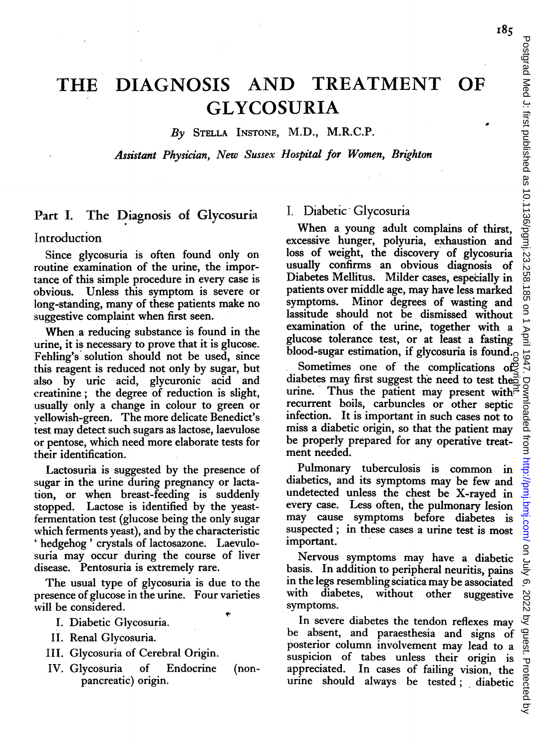185

By STELLA INSTONE, M.D., M.R.C.P.

Assistant Physician, New Sussex Hospital for Women, Brighton

### Part I. The Diagnosis of Glycosuria

#### Introduction

Since glycosuria is often found only on routine examination of the urine, the importance of this simple procedure in every case is obvious. Unless this symptom is severe or long-standing, many of these patients make no suggestive complaint when first seen.

When a reducing substance is found in the urine, it is necessary to prove that it is glucose. Fehling's solution should not be used, since this reagent is reduced not only by sugar, but also by uric acid, glycuronic acid and creatinine; the degree of reduction is slight, usually only a change in colour to green or vellowish-green. The more delicate Benedict's test may detect such sugars as lactose, laevulose or pentose, which need more elaborate tests for their identification.

Lactosuria is suggested by the presence of sugar in the urine during pregnancy or lactation, or when breast-feeding is suddenly stopped. Lactose is identified by the yeastfermentation test (glucose being the only sugar which ferments yeast), and by the characteristic 'hedgehog' crystals of lactosazone. Laevulosuria may occur during the course of liver disease. Pentosuria is extremely rare.

The usual type of glycosuria is due to the presence of glucose in the urine. Four varieties will be considered.

- I. Diabetic Glycosuria.
- II. Renal Glycosuria.
- III. Glycosuria of Cerebral Origin.
- IV. Glycosuria of Endocrine (nonpancreatic) origin.

#### I. Diabetic Glycosuria

When <sup>a</sup> young adult complains of thirst, excessive hunger, polyuria, exhaustion and loss of weight, the discovery of glycosuria usually confirms an obvious diagnosis of Diabetes Mellitus. Milder cases, especially in patients over middle age, may have less marked Minor degrees of wasting and lassitude should not be dismissed without examination of the urine, together with a glucose tolerance test, or at least a fasting blood-sugar estimation, if glycosuria is found.

Sometimes one of the complications of diabetes may first suggest the need to test the. urine. Thus the patient may present with. $\vec{r}$ recurrent boils, carbuncles or other septic infection. It is important in such cases not to miss a diabetic origin, so that the patient may be properly prepared for any operative treatment needed. Solocol sugar estimation, it gives<br>and a solont. Sometimes one of the complications of<br>diabetes may first suggest the need to test the aurine. Thus the patient may present with<br>"recurrent boils, carbuncles or other septic<br>

Pulmonary tuberculosis is common in diabetics, and its symptoms may be few and undetected unless the chest be X-rayed in every case. Less often, the pulmonary lesion may cause symptoms before diabetes is suspected; in these cases a urine test is most important.

Nervous symptoms may have a diabetic basis. In addition to peripheral neuritis, pains in the legs resembling sciatica may be associated without other suggestive symptoms.

In severe diabetes the tendon reflexes may be absent, and paraesthesia and signs of posterior column involvement may lead to a suspicion of tabes unless their origin is appreciated. In cases of failing vision, the urine should always be tested; diabetic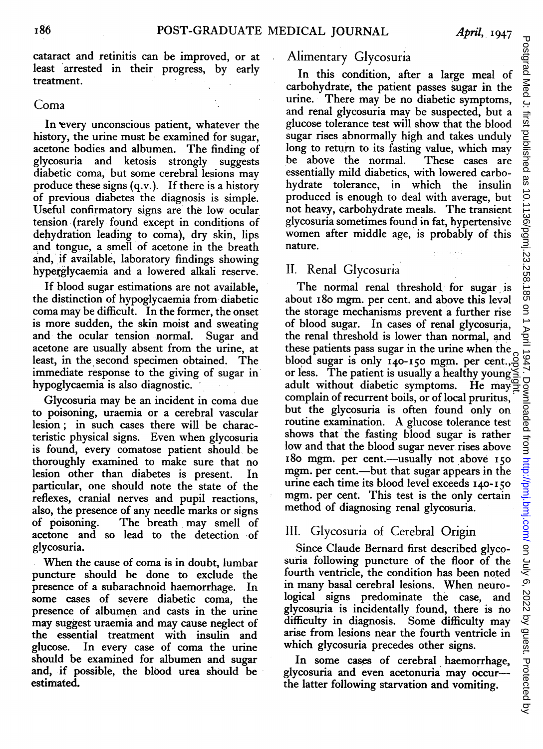cataract and retinitis can be improved, or at least arrested in their progress, by early treatment.

#### Coma

In every unconscious patient, whatever the history, the urine must be examined for sugar, acetone bodies and albumen. The finding of glycosuria and ketosis strongly suggests glycosuria and ketosis strongly diabetic coma, but some cerebral lesions may produce these signs (q.v.). If there is a history of previous diabetes the diagnosis is simple. Useful confirmatory signs are' the low ocular tension (rarely found except in conditjons of dehydration leading to coma), dry skin, lips and tongue, a smell of acetone in the breath and, if available, laboratory findings showing hyperglycaemia and a lowered alkali reserve.

If blood sugar estimations are not available, the distinction of hypoglycaemia from diabetic coma may be difficult. In the former, the onset is more sudden, the skin moist and sweating<br>and the ocular tension normal. Sugar and and the ocular tension normal. acetone are usually absent from the urine, at least, in the second specimen obtained. The immediate response to the giving of sugar in' hypoglycaemia is also diagnostic.

Glycosuria may be an incident in coma due to poisoning, uraemia or a cerebral vascular lesion; in such cases there will be characteristic physical signs. Even when glycosuria is found, every comatose patient should, be thoroughly examined to make sure that no<br>lesion other than diabetes is present. In lesion other than diabetes is present. particular, one should note the state of the reflexes, cranial nerves and pupil reactions, also, the presence of any needle marks or signs<br>of poisoning. The breath may smell of The breath may smell of acetone and so lead to the detection of glycosuria.

When the cause of coma is in doubt, lumbar puncture should be done to exclude the presence of a subarachnoid haemorrhage. In some cases of severe diabetic coma, the presence of albumen and casts in the urine may suggest uraemia and may cause neglect of the essential treatment with insulin and glucose. In every case of coma the urine should be examined for albumen and sugar and, if possible, the blood urea should be estimated.

## Alimentary Glycosuria

In this condition, after a large meal of carbohydrate, the patient passes sugar in the urine. There may be no diabetic symptoms, and renal glycosuria may be suspected, but a glucose tolerance test will show that the blood sugar rises abnormally high and takes unduly long to return to its fasting value, which may<br>be above the normal. These cases are be above the normal. essentially mild diabetics, with lowered carbohydrate tolerance, in which the insulin produced is enough to deal with average, but not heavy, carbohydrate meals. The transient glycosuria sometimes found in fat, hypertensive women after middle age, is probably of this nature.

# II. Renal Glycosuria

The normal renal threshold for sugar is about i8o mgm. per cent. and above this leval the storage mechanisms prevent a further rise of blood sugar. In cases of renal glycosuria, the renal threshold is lower than normal, and these patients pass sugar in the urine when the blood sugar is only  $140-150$  mgm. per cent., $\frac{8}{5}$ or less. The patient is usually <sup>a</sup> healthy young adult without diabetic symptoms. He may  $\frac{1}{2}$ complain of recurrent boils, or of local pruritus, but the glycosuria is often found only on routine examination. A glucose tolerance test shows that' the fasting blood sugar is rather low and that the blood sugar never rises above 180 mgm. per cent.—usually not above 150 mgm. per cent.—but that sugar appears in the urine each time its blood level exceeds I40-150 mgm. per cent. This test is the only certain method of diagnosing renal glycosuria. copyright.

# III. Glycosuria of Cerebral Origin

Since Claude Bernard first described glycosuria following puncture of the floor of the fourth ventricle, the condition has been noted in many basal cerebral lesions. When neurological signs predominate the case, and glycosuria is incidentally found, there is no difficulty in diagnosis. Some difficulty may arise from lesions near the fourth ventricle in which glycosuria precedes other signs.

In some cases of cerebral haemorrhage, glycosuria and even acetonuria may occurthe latter following starvation and vomiting.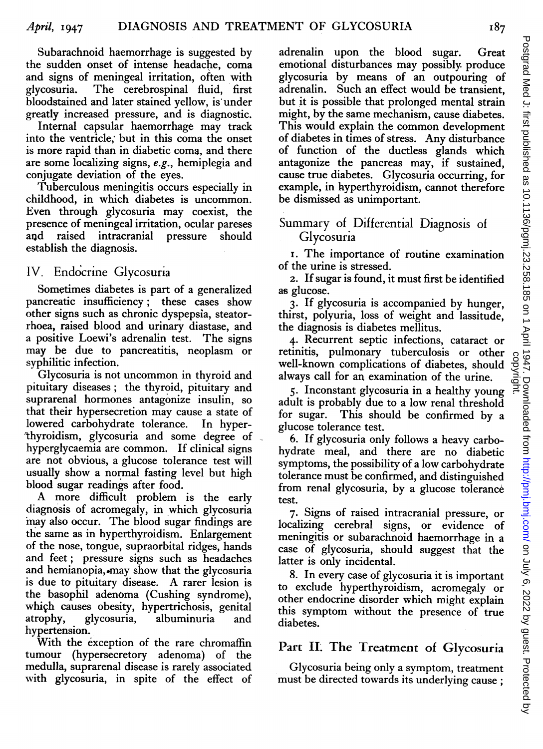Subarachnoid haemorrhage is suggested by the sudden onset of intense headache, coma and signs of meningeal irritation, often with glycosuria. The cerebrospinal fluid, first bloodstained and later stained yellow, is under greatly increased pressure, and is diagnostic.

Internal capsular haemorrhage may track into the ventricle; but in this coma the onset is more rapid than in diabetic coma, and there are some localizing signs, e.g., hemiplegia and conjugate deviation of the eyes.

Tuberculous meningitis occurs especially in childhood, in which diabetes is uncommon. Even through glycosuria may coexist, the presence of meningeal irritation, ocular pareses and raised intracranial pressure should establish the diagnosis.

### IV. Endocrine Glycosuria

Sometimes diabetes is part of a generalized pancreatic insufficiency; these cases show other signs such as chronic dyspepsia, steatorrhoea, raised blood and urinary diastase, and a positive Loewi's adrenalin test. The signs may be due to pancreatitis, neoplasm or syphilitic infection.

Glycosuria is not uncommon in thyroid and pituitary diseases; the thyroid, pituitary and suprarenal hormones antagonize insulin, so that their hypersecretion may cause <sup>a</sup> state of lowered carbohydrate tolerance. In hyperthyroidism, glycosuria and some degree of hyperglycaemia are common. If clinical signs are not obvious, a glucose tolerance test will usually show a normal fasting level but high blood sugar readings after food.

A more difficult problem is the early diagnosis of acromegaly, in which glycosuria may also occur. The blood sugar findings are the same as in hyperthyroidism. Enlargement of the nose, tongue, supraorbital ridges, hands and feet; pressure signs such as headaches and hemianopia, may show that the glycosuria is due to pituitary disease. A rarer lesion is the basophil adenoma (Cushing syndrome), which causes obesity, hypertrichosis, genital<br>atrophy, glycosuria, albuminuria and atrophy, glycosuria, albuminuria and hypertension.

With the exception of the rare chromaffin tumour (hypersecretory adenoma) of the medulla, suprarenal disease is rarely associated with glycosuria, in spite of the effect of

adrenalin upon the blood sugar. Great emotional disturbances may possibly produce glycosuria by means of an outpouring of adrenalin. Such an effect would be transient, but it is possible that prolonged mental strain might, by the same mechanism, cause diabetes. This would explain the common development of diabetes in times of stress. Any disturbance of function of the ductless glands which antagonize the pancreas may, if sustained, cause true diabetes. Glycosuria occurring, for example, in hyperthyroidism, cannot therefore be dismissed as unimportant.

### Summary of Differential Diagnosis of Glycosuria

i. The importance of routine examination of the urine is stressed.

2. If sugar is found, it must first be identified as glucose.

3. If glycosuria is accompanied by hunger, thirst, polyuria, loss of weight and lassitude, the diagnosis is diabetes mellitus.

4. Recurrent septic infections, cataract or retinitis, pulmonary tuberculosis or other well-known complications of diabetes, should always call for an examination of the urine.

5. Inconstant glycosuria in a healthy young adult is probably due to a low renal threshold for sugar. This should be confirmed by a glucose tolerance test.

6. If glycosuria only follows a heavy carbohydrate meal, and there are no diabetic symptoms, the possibility of a low carbohydrate tolerance must be confirmed, and distinguished from renal glycosuria, by a glucose tolerance test.

7. Signs of raised intracranial pressure, or localizing cerebral signs, or evidence of meningitis or subarachnoid haemorrhage in a case of glycosuria, should suggest that the latter is only incidental.

8. In every case of glycosuria it is important to exclude hyperthyroidism, acromegaly or other endocrine disorder which might explain this symptom without the presence of true diabetes.

## Part II. The Treatment of Glycosuria

Glycosuria being only a symptom, treatment must be directed towards its underlying cause :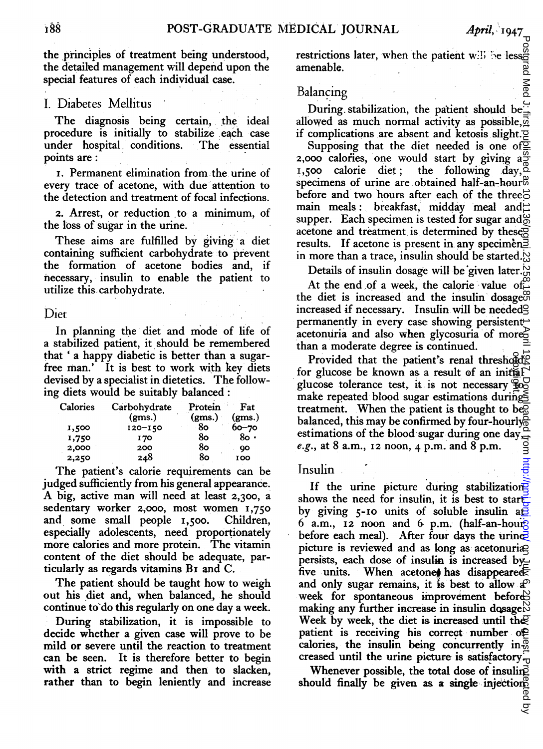the principles of treatment being understood. the detailed management will depend upon the special features of each individual case.

## I. Diabetes Mellitus

The diagnosis being certain, the ideal procedure is initially to stabilize each case under hospital conditions. The essential points are:

i. Permanent elimination from.the.urine of every trace of acetone, with due'attention to the detection and treatment of focal infections.

2. Arrest, or reduction to a minimum, of the loss of sugar in the urine.

These aims are fulfilled by giving a diet containing sufficient carbohydrate to prevent the formation of acetone bodies and, if necessary, insulin to enable the patient to utilize this, carbohydrate.

Diet

In planning the diet and mode of life of a stabilized patient, it should be remembered that ' a happy diabetic is better than a sugarfree man.' It is best to work with key diets devised by a specialist in dietetics. The following diets would be suitably balanced:

| Calories | Carbohydrate | Protein | Fat       |
|----------|--------------|---------|-----------|
|          | (gms.)       | (gms.)  | (gms.)    |
| 1,500    | $120 - 150$  | 80      | $60 - 70$ |
| 1,750    | <b>170</b>   | 80      | 80 ·      |
| 2,000    | 200          | 80      | QO        |
| 2,250    | 248          | 80      | 100       |

The patient's calorie requirements can be judged sufficiently from his general appearance. A big, active man will need at least 2,300, <sup>a</sup> sedentary worker 2,000, most women 1,750 and some small people 1,500. Children, especially adolescents, need proportionately more calories and more protein. The vitamin content of the diet should be adequate, particularly as regards vitamins Bi and C.

The patient should be taught how to weigh out his diet and, when balanced, he should continue to'do this regularly on one day a week. During stabilization, it is impossible to

decide whether a given case will prove to be mild or severe until the reaction to treatment can be seen. It is therefore better to begin with a strict regime and then to slacken, rather than to begin leniently and increase

restrictions later, when the patient will be less. amenable.

#### Balancing

During stabilization, the patient should be allowed as much normal activity as possible,  $\overline{a}$ if complications are absent and ketosis slight. $\Xi$ 

Supposing that the diet needed is one of  $\overline{2}$ 2,000 calories, one would start by giving  $a^{\infty}_{\text{I}}$ ,500 calorie diet : the following day. the following  $\vec{day}$ . specimens of urine are obtained half-an-hour<sup>®</sup> before and two hours after each of the three $\vec{c}$ main meals: breakfast, midday meal and supper. Each specimen is tested for sugar and  $\%$ acetone and treatment is determined by these $\overline{g}$ results. If acetone is present in any specimen. in more than a trace, insulin should be started. $\aleph$ 

Details of insulin dosage will be given later.

At the end of a week, the calorie value of the diet is increased and the insulin dosage $\mathfrak{S}$ increased if necessary. Insulin.will be needed permanently in every case showing persistent acetonuria and also when glycosuria of more? than a moderate degree is continued.

Provided that the patient's renal threshold's for glucose be known as a result of an initial glucose tolerance test, it is not necessary  $\overline{\mathfrak{g}}_{\mathcal{O}}^{\square}$ make repeated blood sugar estimations during $\leq$ treatment. When the patient is thought to be $\overline{\mathbb{S}}$ balanced, this may be confirmed by four-hourly $\frac{1}{9}$ estimations of the blood sugar during one day, $\frac{\alpha}{2}$ e.g., at 8 a.m.,  $12 \text{ noon}$ ,  $4 \text{ p.m.}$  and  $8 \text{ p.m.}$ 

#### Insulin

If the urine picture during stabilization shows the need for insulin, it is best to startby giving  $5$ -10 units of soluble insulin at  $6$  a.m., 12 noon and  $6$  p.m. (half-an-hourg before each meal). After four days the urines picture is reviewed and as long as acetonuria persists, each dose of insulin is increased by five units. When acetonet has disappeared. and only sugar remains, it is best to allow  $a^{\mathcal{D}}$ week for spontaneous improvement before making any further increase in insulin dosage. $\aleph$ Week by week, the diet is increased until the patient is receiving his correct number of calories, the insulin being concurrently in- $\frac{1}{6}$ creased until the urine picture is satisfactory. restrictionslater, when the patient will be lead as more infection correlation control as much normal activity as possible,  $\frac{1}{2}$  for complications are absent and activity as possible,  $\frac{1}{2}$  for complications are

Whenever possible, the total dose of insuling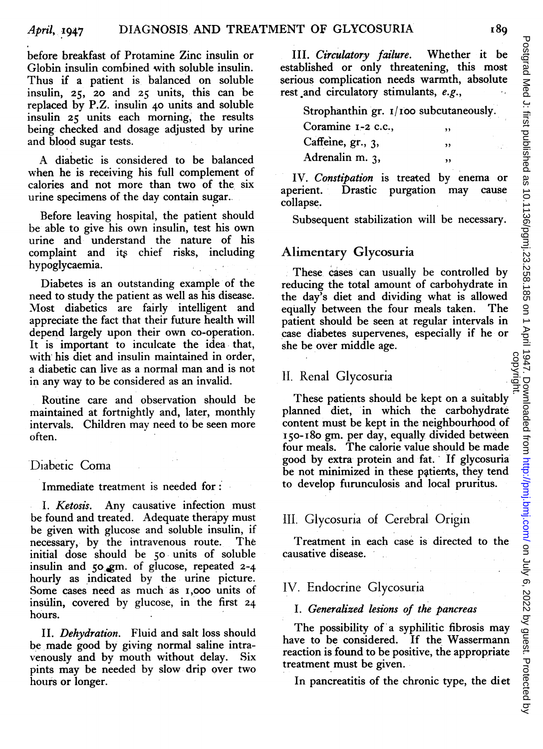before breakfast of Protamine Zinc insulin or Globin insulin combined with soluble insulin. Thus if a patient is balanced on soluble insulin, 25, 20 and 25 units, this can be replaced by P.Z. insulin 40 units and soluble insulin 25 units each morning, the results being checked and dosage adjusted by urine and blood sugar tests.

A diabetic is considered to be balanced when he is receiving his full complement of calories and not more than two of the six urine specimens of the day contain sugar.

Before leaving hospital, the patient should be able to give his own insulin, test his own urine and understand the nature of his complaint and its chief risks, including hypoglycaemia.

Diabetes is an outstanding example of the need to study the patient as well as his disease. Most diabetics are fairly intelligent and appreciate the fact that their future health will depend largely upon their own co-operation. It is important to inculcate the idea that, with his diet and insulin maintained in order, <sup>a</sup> diabetic can live as <sup>a</sup> normal man and is not in any way to be considered as an invalid.

Routine care and observation should be maintained at fortnightly and, later, monthly intervals. Children may need to be seen more often.

#### Diabetic Coma

Immediate treatment is needed for:

I. Ketosis. Any causative infection must be found and treated. Adequate therapy must be given with glucose and soluble insulin, if necessary, by the intravenous route. The initial dose should be 50 units of soluble insulin and 50 gm. of glucose, repeated 2-4 hourly as indicated by the urine picture. Some cases need as much as I,ooo units of insulin, covered by glucose, in the first 24 hours.

II. Dehydration. Fluid and salt loss should be made good by giving normal saline intravenously and by mouth without delay. Six pints may be needed by slow drip over two hours or longer.

III. Circulatory failure. Whether it be established or only threatening, this most serious complication needs warmth, absolute rest and circulatory stimulants, e.g.,

Strophanthin gr.  $I/100$  subcutaneously.

| Coramine 1-2 c.c., | ,, |
|--------------------|----|
| Caffeine, gr., 3,  | ,, |
| Adrenalin m. 3,    |    |

IV. Constipation is treated by enema or aperient. Drastic purgation may cause collapse.

Subsequent stabilization will be necessary.

#### Alimentary Glycosuria

These cases can usually be controlled by reducing the total amount of carbohydrate in the day's diet and dividing what is allowed equally between the four meals taken. The patient should be seen at regular intervals in case diabetes supervenes, especially if he or she be over middle age.

#### 11. Renal Glycosuria

These patients should be kept on a suitably planned diet, in which the carbohydrate content must be kept in the neighbourhood of I50-i8o gm. per day, equally divided between four meals. The calorie value should be made good by extra protein and fat. If glycosuria' be not minimized in these patients, they tend to develop furunculosis and local pruritus.

### III. Glycosuria of Cerebral Origin

Treatment in each case is directed to the causative disease.

#### IV. Endocrine Glycosuria

#### I. Generalized lesions of the pancreas

The possibility of <sup>a</sup> syphilitic fibrosis may have to be considered. If the Wassermann reaction is found to be positive, the appropriate treatment must be given.

In pancreatitis of the chronic type, the diet